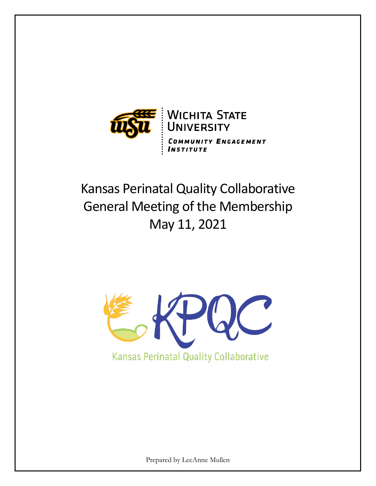

# Kansas Perinatal Quality Collaborative General Meeting of the Membership May 11, 2021



Prepared by LeeAnne Mullen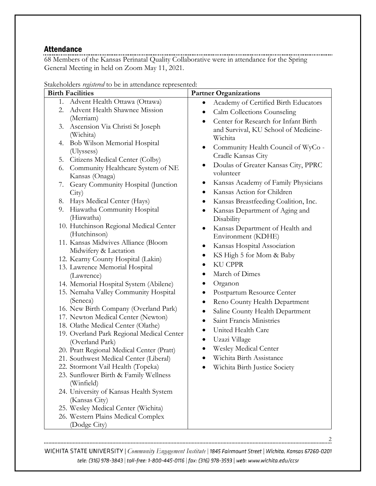### Attendance

68 Members of the Kansas Perinatal Quality Collaborative were in attendance for the Spring General Meeting in held on Zoom May 11, 2021.

| <b>Birth Facilities</b>                                | <b>Partner Organizations</b>                          |
|--------------------------------------------------------|-------------------------------------------------------|
| Advent Health Ottawa (Ottawa)<br>1.                    | Academy of Certified Birth Educators<br>٠             |
| Advent Health Shawnee Mission<br>2.                    | Calm Collections Counseling<br>٠                      |
| (Merriam)                                              | Center for Research for Infant Birth<br>$\bullet$     |
| Ascension Via Christi St Joseph<br>3.                  | and Survival, KU School of Medicine-                  |
| (Wichita)                                              | Wichita                                               |
| Bob Wilson Memorial Hospital<br>4.                     | Community Health Council of WyCo -<br>٠               |
| (Ulyssess)                                             | Cradle Kansas City                                    |
| 5. Citizens Medical Center (Colby)                     |                                                       |
| Community Healthcare System of NE<br>6.                | Doulas of Greater Kansas City, PPRC<br>٠<br>volunteer |
| Kansas (Onaga)                                         |                                                       |
| Geary Community Hospital (Junction<br>7.               | Kansas Academy of Family Physicians<br>$\bullet$      |
| City)                                                  | Kansas Action for Children<br>$\bullet$               |
| 8. Hays Medical Center (Hays)                          | Kansas Breastfeeding Coalition, Inc.<br>٠             |
| 9. Hiawatha Community Hospital                         | Kansas Department of Aging and                        |
| (Hiawatha)                                             | Disability                                            |
| 10. Hutchinson Regional Medical Center<br>(Hutchinson) | Kansas Department of Health and<br>٠                  |
| 11. Kansas Midwives Alliance (Bloom                    | Environment (KDHE)                                    |
| Midwifery & Lactation                                  | Kansas Hospital Association<br>٠                      |
| 12. Kearny County Hospital (Lakin)                     | KS High 5 for Mom & Baby<br>٠                         |
| 13. Lawrence Memorial Hospital                         | <b>KU CPPR</b>                                        |
| (Lawrence)                                             | March of Dimes<br>$\bullet$                           |
| 14. Memorial Hospital System (Abilene)                 | Organon                                               |
| 15. Nemaha Valley Community Hospital                   | Postpartum Resource Center<br>٠                       |
| (Seneca)                                               | Reno County Health Department<br>٠                    |
| 16. New Birth Company (Overland Park)                  | Saline County Health Department                       |
| 17. Newton Medical Center (Newton)                     | Saint Francis Ministries<br>$\bullet$                 |
| 18. Olathe Medical Center (Olathe)                     | United Health Care                                    |
| 19. Overland Park Regional Medical Center              | $\bullet$                                             |
| (Overland Park)                                        | Uzazi Village<br>$\bullet$                            |
| 20. Pratt Regional Medical Center (Pratt)              | Wesley Medical Center                                 |
| 21. Southwest Medical Center (Liberal)                 | Wichita Birth Assistance                              |
| 22. Stormont Vail Health (Topeka)                      | Wichita Birth Justice Society                         |
| 23. Sunflower Birth & Family Wellness<br>(Winfield)    |                                                       |
| 24. University of Kansas Health System                 |                                                       |
| (Kansas City)                                          |                                                       |
| 25. Wesley Medical Center (Wichita)                    |                                                       |
| 26. Western Plains Medical Complex                     |                                                       |
| (Dodge City)                                           |                                                       |

Stakeholders *registered* to be in attendance represented:

WICHITA STATE UNIVERSITY | Community Engagement Institute | 1845 Fairmount Street | Wichita, Kansas 67260-0201 tele: (316) 978-3843 | toll-free: 1-800-445-0116 | fax: (316) 978-3593 | web: www.wichita.edu/ccsr

2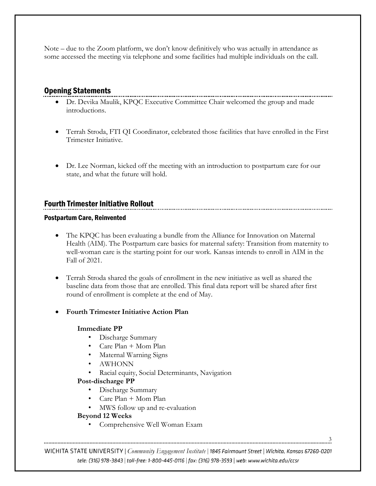Note – due to the Zoom platform, we don't know definitively who was actually in attendance as some accessed the meeting via telephone and some facilities had multiple individuals on the call.

# Opening Statements

- Dr. Devika Maulik, KPQC Executive Committee Chair welcomed the group and made introductions.
- Terrah Stroda, FTI QI Coordinator, celebrated those facilities that have enrolled in the First Trimester Initiative.
- Dr. Lee Norman, kicked off the meeting with an introduction to postpartum care for our state, and what the future will hold.

# Fourth Trimester Initiative Rollout

#### Postpartum Care, Reinvented

- The KPQC has been evaluating a bundle from the Alliance for Innovation on Maternal Health (AIM). The Postpartum care basics for maternal safety: Transition from maternity to well-woman care is the starting point for our work. Kansas intends to enroll in AIM in the Fall of 2021.
- Terrah Stroda shared the goals of enrollment in the new initiative as well as shared the baseline data from those that are enrolled. This final data report will be shared after first round of enrollment is complete at the end of May.
- **Fourth Trimester Initiative Action Plan**

#### **Immediate PP**

- Discharge Summary
- Care Plan + Mom Plan
- Maternal Warning Signs
- AWHONN
- Racial equity, Social Determinants, Navigation

#### **Post-discharge PP**

- Discharge Summary
- Care Plan + Mom Plan
- MWS follow up and re-evaluation

#### **Beyond 12 Weeks**

• Comprehensive Well Woman Exam

WICHITA STATE UNIVERSITY | Community Engagement Institute | 1845 Fairmount Street | Wichita, Kansas 67260-0201 tele: (316) 978-3843 | toll-free: 1-800-445-0116 | fax: (316) 978-3593 | web: www.wichita.edu/ccsr

3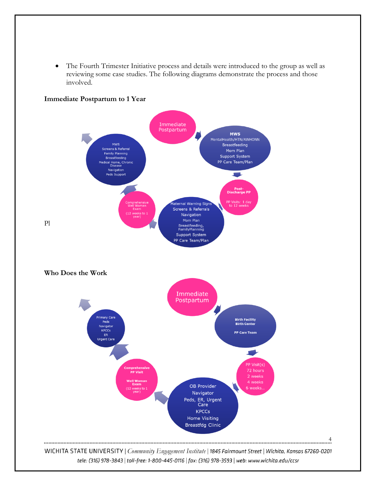• The Fourth Trimester Initiative process and details were introduced to the group as well as reviewing some case studies. The following diagrams demonstrate the process and those involved.

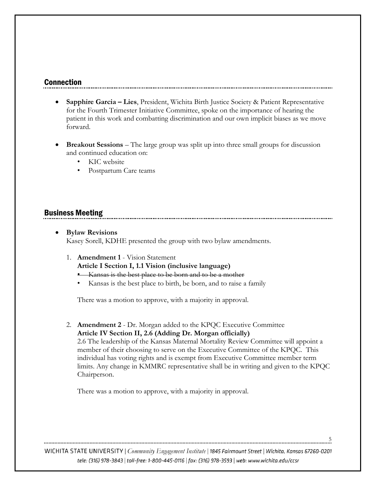#### Connection

- **Sapphire Garcia – Lies**, President, Wichita Birth Justice Society & Patient Representative for the Fourth Trimester Initiative Committee, spoke on the importance of hearing the patient in this work and combatting discrimination and our own implicit biases as we move forward.
- **Breakout Sessions** The large group was split up into three small groups for discussion and continued education on:
	- KIC website
	- Postpartum Care teams

# Business Meeting

- **Bylaw Revisions** Kasey Sorell, KDHE presented the group with two bylaw amendments.
	- 1. **Amendment 1** Vision Statement **Article I Section I, 1.1 Vision (inclusive language)**
		- Kansas is the best place to be born and to be a mother
		- Kansas is the best place to birth, be born, and to raise a family

There was a motion to approve, with a majority in approval.

2. **Amendment 2** - Dr. Morgan added to the KPQC Executive Committee **Article IV Section II, 2.6 (Adding Dr. Morgan officially)**

2.6 The leadership of the Kansas Maternal Mortality Review Committee will appoint a member of their choosing to serve on the Executive Committee of the KPQC. This individual has voting rights and is exempt from Executive Committee member term limits. Any change in KMMRC representative shall be in writing and given to the KPQC Chairperson.

5

There was a motion to approve, with a majority in approval.

WICHITA STATE UNIVERSITY | Community Engagement Institute | 1845 Fairmount Street | Wichita, Kansas 67260-0201 tele: (316) 978-3843 | toll-free: 1-800-445-0116 | fax: (316) 978-3593 | web: www.wichita.edu/ccsr